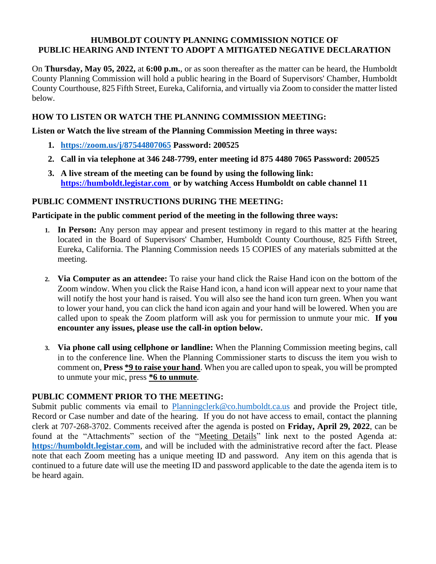#### **HUMBOLDT COUNTY PLANNING COMMISSION NOTICE OF PUBLIC HEARING AND INTENT TO ADOPT A MITIGATED NEGATIVE DECLARATION**

On **Thursday, May 05, 2022,** at **6:00 p.m.**, or as soon thereafter as the matter can be heard, the Humboldt County Planning Commission will hold a public hearing in the Board of Supervisors' Chamber, Humboldt County Courthouse, 825 Fifth Street, Eureka, California, and virtually via Zoom to consider the matter listed below.

# **HOW TO LISTEN OR WATCH THE PLANNING COMMISSION MEETING:**

**Listen or Watch the live stream of the Planning Commission Meeting in three ways:** 

- **1. <https://zoom.us/j/87544807065> Password: 200525**
- **2. Call in via telephone at 346 248-7799, enter meeting id 875 4480 7065 Password: 200525**
- **3. A live stream of the meeting can be found by using the following link: [https://humboldt.legistar.com](https://humboldt.legistar.com/) or by watching Access Humboldt on cable channel 11**

## **PUBLIC COMMENT INSTRUCTIONS DURING THE MEETING:**

## **Participate in the public comment period of the meeting in the following three ways:**

- **1. In Person:** Any person may appear and present testimony in regard to this matter at the hearing located in the Board of Supervisors' Chamber, Humboldt County Courthouse, 825 Fifth Street, Eureka, California. The Planning Commission needs 15 COPIES of any materials submitted at the meeting.
- **2. Via Computer as an attendee:** To raise your hand click the Raise Hand icon on the bottom of the Zoom window. When you click the Raise Hand icon, a hand icon will appear next to your name that will notify the host your hand is raised. You will also see the hand icon turn green. When you want to lower your hand, you can click the hand icon again and your hand will be lowered. When you are called upon to speak the Zoom platform will ask you for permission to unmute your mic. **If you encounter any issues, please use the call-in option below.**
- **3. Via phone call using cellphone or landline:** When the Planning Commission meeting begins, call in to the conference line. When the Planning Commissioner starts to discuss the item you wish to comment on, **Press \*9 to raise your hand**. When you are called upon to speak, you will be prompted to unmute your mic, press **\*6 to unmute**.

#### **PUBLIC COMMENT PRIOR TO THE MEETING:**

Submit public comments via email to [Planningclerk@co.humboldt.ca.us](file://///all.co.humboldt.ca.us/plbl/Records/Planning%20Commission%20Master%20Directory/Agendas/2020/5.21.2020/Planningclerk@co.humboldt.ca.us%20) and provide the Project title, Record or Case number and date of the hearing. If you do not have access to email, contact the planning clerk at 707-268-3702. Comments received after the agenda is posted on **Friday, April 29, 2022**, can be found at the "Attachments" section of the "Meeting Details" link next to the posted Agenda at: **[https://humboldt.legistar.com](https://humboldt.legistar.com/)**, and will be included with the administrative record after the fact. Please note that each Zoom meeting has a unique meeting ID and password. Any item on this agenda that is continued to a future date will use the meeting ID and password applicable to the date the agenda item is to be heard again.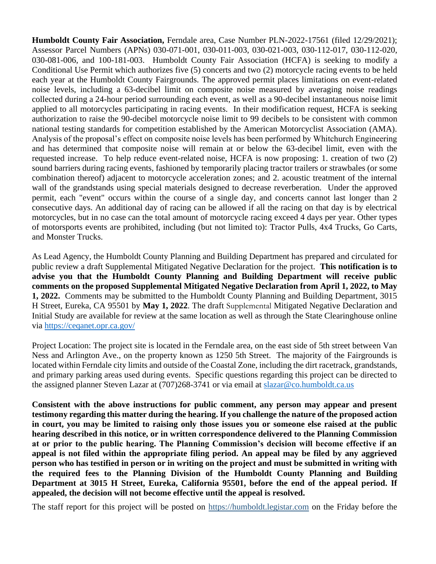**Humboldt County Fair Association,** Ferndale area, Case Number PLN-2022-17561 (filed 12/29/2021); Assessor Parcel Numbers (APNs) 030-071-001, 030-011-003, 030-021-003, 030-112-017, 030-112-020, 030-081-006, and 100-181-003. Humboldt County Fair Association (HCFA) is seeking to modify a Conditional Use Permit which authorizes five (5) concerts and two (2) motorcycle racing events to be held each year at the Humboldt County Fairgrounds. The approved permit places limitations on event-related noise levels, including a 63-decibel limit on composite noise measured by averaging noise readings collected during a 24-hour period surrounding each event, as well as a 90-decibel instantaneous noise limit applied to all motorcycles participating in racing events. In their modification request, HCFA is seeking authorization to raise the 90-decibel motorcycle noise limit to 99 decibels to be consistent with common national testing standards for competition established by the American Motorcyclist Association (AMA). Analysis of the proposal's effect on composite noise levels has been performed by Whitchurch Engineering and has determined that composite noise will remain at or below the 63-decibel limit, even with the requested increase. To help reduce event-related noise, HCFA is now proposing: 1. creation of two (2) sound barriers during racing events, fashioned by temporarily placing tractor trailers or strawbales (or some combination thereof) adjacent to motorcycle acceleration zones; and 2. acoustic treatment of the internal wall of the grandstands using special materials designed to decrease reverberation. Under the approved permit, each "event" occurs within the course of a single day, and concerts cannot last longer than 2 consecutive days. An additional day of racing can be allowed if all the racing on that day is by electrical motorcycles, but in no case can the total amount of motorcycle racing exceed 4 days per year. Other types of motorsports events are prohibited, including (but not limited to): Tractor Pulls, 4x4 Trucks, Go Carts, and Monster Trucks.

As Lead Agency, the Humboldt County Planning and Building Department has prepared and circulated for public review a draft Supplemental Mitigated Negative Declaration for the project. **This notification is to advise you that the Humboldt County Planning and Building Department will receive public comments on the proposed Supplemental Mitigated Negative Declaration from April 1, 2022, to May 1, 2022.** Comments may be submitted to the Humboldt County Planning and Building Department, 3015 H Street, Eureka, CA 95501 by **May 1, 2022**. The draft Supplemental Mitigated Negative Declaration and Initial Study are available for review at the same location as well as through the State Clearinghouse online via<https://ceqanet.opr.ca.gov/>

Project Location: The project site is located in the Ferndale area, on the east side of 5th street between Van Ness and Arlington Ave., on the property known as 1250 5th Street. The majority of the Fairgrounds is located within Ferndale city limits and outside of the Coastal Zone, including the dirt racetrack, grandstands, and primary parking areas used during events. Specific questions regarding this project can be directed to the assigned planner Steven Lazar at (707)268-3741 or via email at [slazar@co.humboldt.ca.us](mailto:slazar@co.humboldt.ca.us)

**Consistent with the above instructions for public comment, any person may appear and present testimony regarding this matter during the hearing. If you challenge the nature of the proposed action in court, you may be limited to raising only those issues you or someone else raised at the public hearing described in this notice, or in written correspondence delivered to the Planning Commission at or prior to the public hearing. The Planning Commission's decision will become effective if an appeal is not filed within the appropriate filing period. An appeal may be filed by any aggrieved person who has testified in person or in writing on the project and must be submitted in writing with the required fees to the Planning Division of the Humboldt County Planning and Building Department at 3015 H Street, Eureka, California 95501, before the end of the appeal period. If appealed, the decision will not become effective until the appeal is resolved.** 

The staff report for this project will be posted on [https://humboldt.legistar.com](https://humboldt.legistar.com/) on the Friday before the